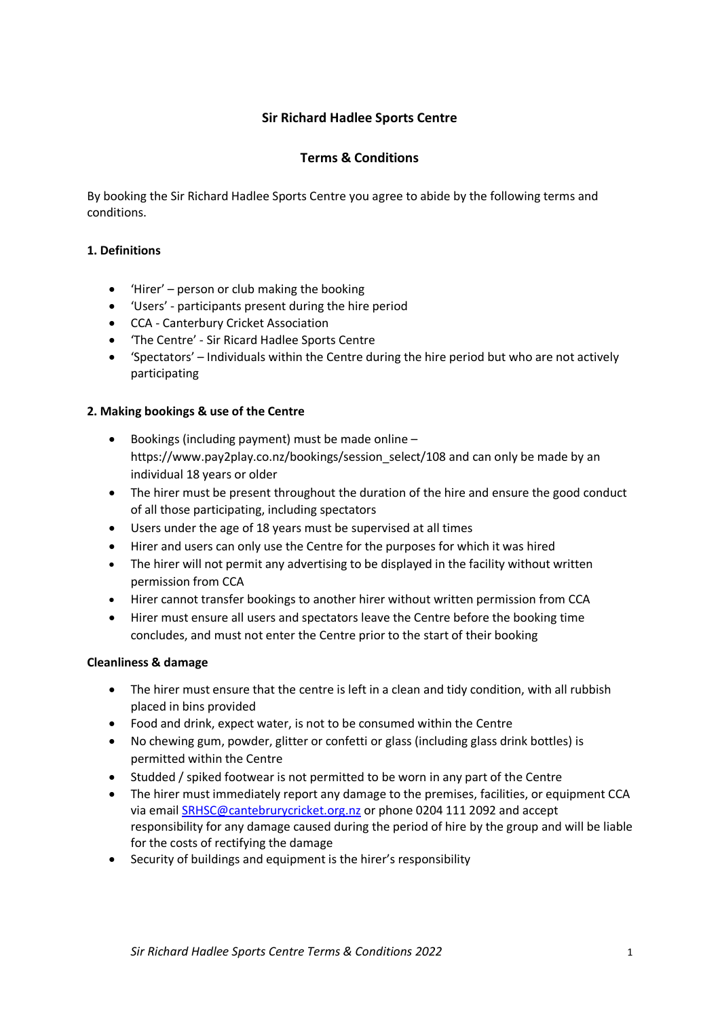# **Sir Richard Hadlee Sports Centre**

## **Terms & Conditions**

By booking the Sir Richard Hadlee Sports Centre you agree to abide by the following terms and conditions.

#### **1. Definitions**

- $\bullet$  'Hirer' person or club making the booking
- 'Users' participants present during the hire period
- CCA Canterbury Cricket Association
- 'The Centre' Sir Ricard Hadlee Sports Centre
- 'Spectators' Individuals within the Centre during the hire period but who are not actively participating

#### **2. Making bookings & use of the Centre**

- Bookings (including payment) must be made online https://www.pay2play.co.nz/bookings/session\_select/108 and can only be made by an individual 18 years or older
- The hirer must be present throughout the duration of the hire and ensure the good conduct of all those participating, including spectators
- Users under the age of 18 years must be supervised at all times
- Hirer and users can only use the Centre for the purposes for which it was hired
- The hirer will not permit any advertising to be displayed in the facility without written permission from CCA
- Hirer cannot transfer bookings to another hirer without written permission from CCA
- Hirer must ensure all users and spectators leave the Centre before the booking time concludes, and must not enter the Centre prior to the start of their booking

#### **Cleanliness & damage**

- The hirer must ensure that the centre is left in a clean and tidy condition, with all rubbish placed in bins provided
- Food and drink, expect water, is not to be consumed within the Centre
- No chewing gum, powder, glitter or confetti or glass (including glass drink bottles) is permitted within the Centre
- Studded / spiked footwear is not permitted to be worn in any part of the Centre
- The hirer must immediately report any damage to the premises, facilities, or equipment CCA via email [SRHSC@cantebrurycricket.org.nz](mailto:SRHSC@cantebrurycricket.org.nz) or phone 0204 111 2092 and accept responsibility for any damage caused during the period of hire by the group and will be liable for the costs of rectifying the damage
- Security of buildings and equipment is the hirer's responsibility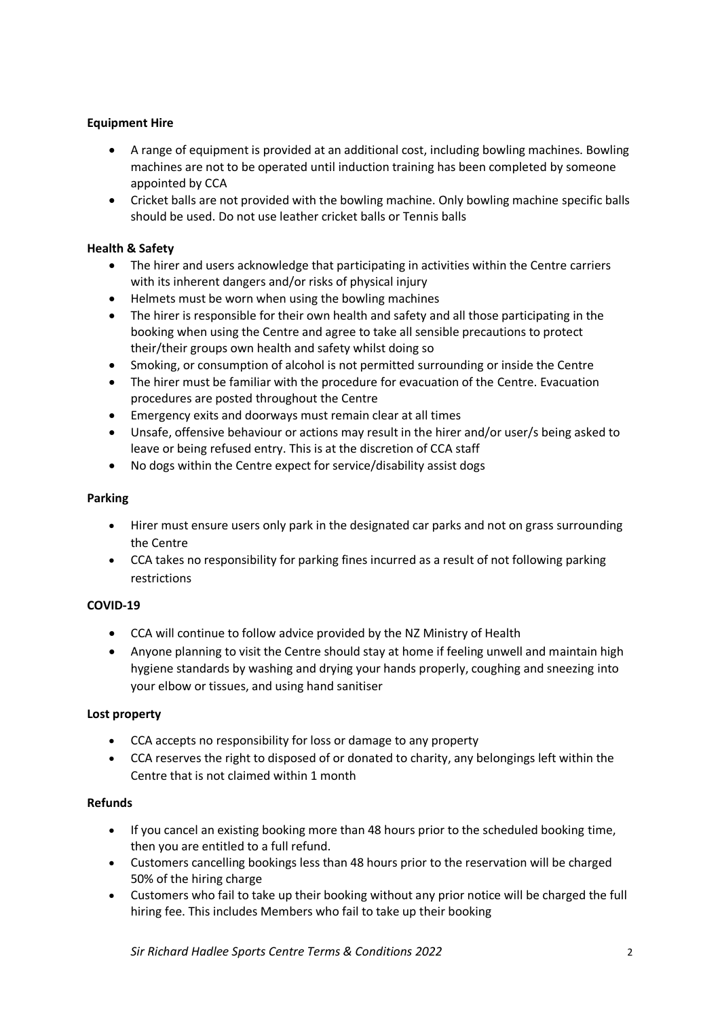# **Equipment Hire**

- A range of equipment is provided at an additional cost, including bowling machines. Bowling machines are not to be operated until induction training has been completed by someone appointed by CCA
- Cricket balls are not provided with the bowling machine. Only bowling machine specific balls should be used. Do not use leather cricket balls or Tennis balls

## **Health & Safety**

- The hirer and users acknowledge that participating in activities within the Centre carriers with its inherent dangers and/or risks of physical injury
- Helmets must be worn when using the bowling machines
- The hirer is responsible for their own health and safety and all those participating in the booking when using the Centre and agree to take all sensible precautions to protect their/their groups own health and safety whilst doing so
- Smoking, or consumption of alcohol is not permitted surrounding or inside the Centre
- The hirer must be familiar with the procedure for evacuation of the Centre. Evacuation procedures are posted throughout the Centre
- Emergency exits and doorways must remain clear at all times
- Unsafe, offensive behaviour or actions may result in the hirer and/or user/s being asked to leave or being refused entry. This is at the discretion of CCA staff
- No dogs within the Centre expect for service/disability assist dogs

#### **Parking**

- Hirer must ensure users only park in the designated car parks and not on grass surrounding the Centre
- CCA takes no responsibility for parking fines incurred as a result of not following parking restrictions

## **COVID-19**

- CCA will continue to follow advice provided by the NZ Ministry of Health
- Anyone planning to visit the Centre should stay at home if feeling unwell and maintain high hygiene standards by washing and drying your hands properly, coughing and sneezing into your elbow or tissues, and using hand sanitiser

## **Lost property**

- CCA accepts no responsibility for loss or damage to any property
- CCA reserves the right to disposed of or donated to charity, any belongings left within the Centre that is not claimed within 1 month

## **Refunds**

- If you cancel an existing booking more than 48 hours prior to the scheduled booking time, then you are entitled to a full refund.
- Customers cancelling bookings less than 48 hours prior to the reservation will be charged 50% of the hiring charge
- Customers who fail to take up their booking without any prior notice will be charged the full hiring fee. This includes Members who fail to take up their booking